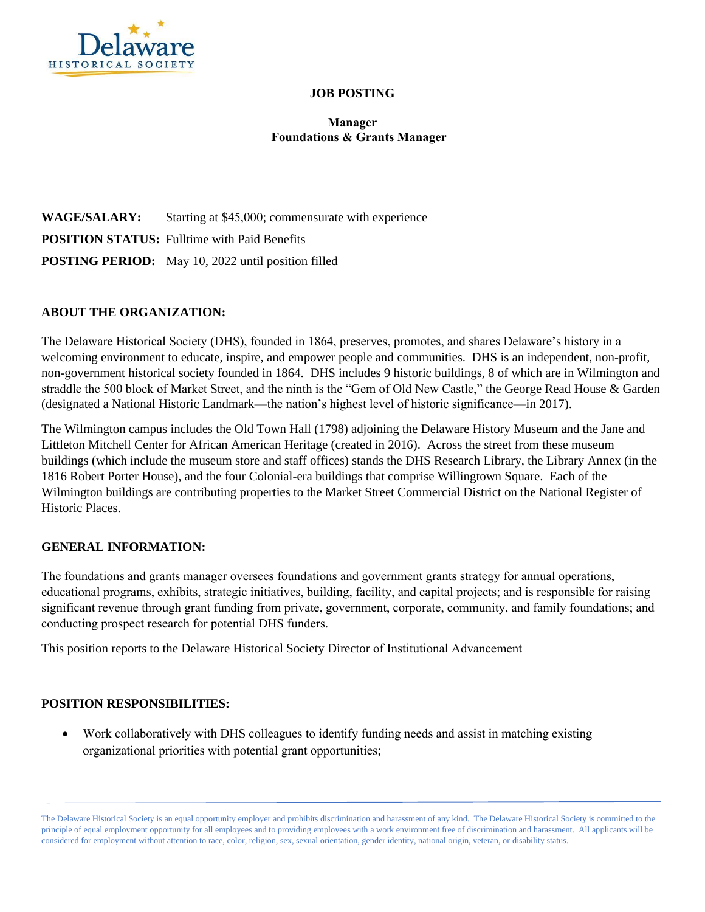

## **JOB POSTING**

# **Manager Foundations & Grants Manager**

**WAGE/SALARY:** Starting at \$45,000; commensurate with experience **POSITION STATUS:** Fulltime with Paid Benefits **POSTING PERIOD:** May 10, 2022 until position filled

### **ABOUT THE ORGANIZATION:**

The Delaware Historical Society (DHS), founded in 1864, preserves, promotes, and shares Delaware's history in a welcoming environment to educate, inspire, and empower people and communities. DHS is an independent, non-profit, non-government historical society founded in 1864. DHS includes 9 historic buildings, 8 of which are in Wilmington and straddle the 500 block of Market Street, and the ninth is the "Gem of Old New Castle," the George Read House & Garden (designated a National Historic Landmark—the nation's highest level of historic significance—in 2017).

The Wilmington campus includes the Old Town Hall (1798) adjoining the Delaware History Museum and the Jane and Littleton Mitchell Center for African American Heritage (created in 2016). Across the street from these museum buildings (which include the museum store and staff offices) stands the DHS Research Library, the Library Annex (in the 1816 Robert Porter House), and the four Colonial-era buildings that comprise Willingtown Square. Each of the Wilmington buildings are contributing properties to the Market Street Commercial District on the National Register of Historic Places.

#### **GENERAL INFORMATION:**

The foundations and grants manager oversees foundations and government grants strategy for annual operations, educational programs, exhibits, strategic initiatives, building, facility, and capital projects; and is responsible for raising significant revenue through grant funding from private, government, corporate, community, and family foundations; and conducting prospect research for potential DHS funders.

This position reports to the Delaware Historical Society Director of Institutional Advancement

## **POSITION RESPONSIBILITIES:**

• Work collaboratively with DHS colleagues to identify funding needs and assist in matching existing organizational priorities with potential grant opportunities;

The Delaware Historical Society is an equal opportunity employer and prohibits discrimination and harassment of any kind. The Delaware Historical Society is committed to the principle of equal employment opportunity for all employees and to providing employees with a work environment free of discrimination and harassment. All applicants will be considered for employment without attention to race, color, religion, sex, sexual orientation, gender identity, national origin, veteran, or disability status.